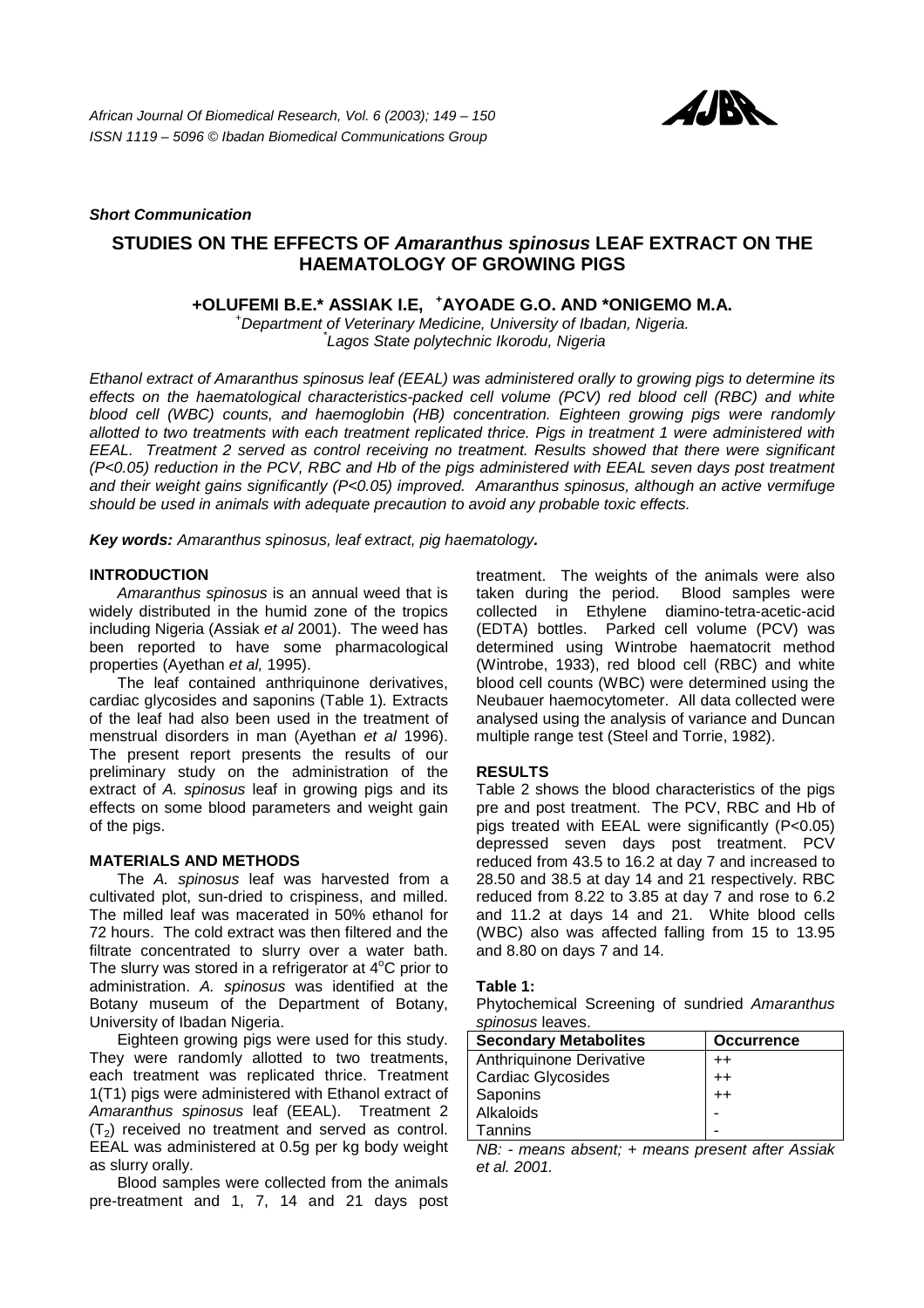

### *Short Communication*

# **STUDIES ON THE EFFECTS OF** *Amaranthus spinosus* **LEAF EXTRACT ON THE HAEMATOLOGY OF GROWING PIGS**

**+OLUFEMI B.E.\* ASSIAK I.E, <sup>+</sup> AYOADE G.O. AND \*ONIGEMO M.A.** *<sup>+</sup>*

*Department of Veterinary Medicine, University of Ibadan, Nigeria. \* Lagos State polytechnic Ikorodu, Nigeria* 

*Ethanol extract of Amaranthus spinosus leaf (EEAL) was administered orally to growing pigs to determine its effects on the haematological characteristics-packed cell volume (PCV) red blood cell (RBC) and white blood cell (WBC) counts, and haemoglobin (HB) concentration. Eighteen growing pigs were randomly allotted to two treatments with each treatment replicated thrice. Pigs in treatment 1 were administered with EEAL. Treatment 2 served as control receiving no treatment. Results showed that there were significant (P<0.05) reduction in the PCV, RBC and Hb of the pigs administered with EEAL seven days post treatment and their weight gains significantly (P<0.05) improved. Amaranthus spinosus, although an active vermifuge should be used in animals with adequate precaution to avoid any probable toxic effects.* 

*Key words: Amaranthus spinosus, leaf extract, pig haematology.* 

### **INTRODUCTION**

 *Amaranthus spinosus* is an annual weed that is widely distributed in the humid zone of the tropics including Nigeria (Assiak *et al* 2001). The weed has been reported to have some pharmacological properties (Ayethan *et al,* 1995).

 The leaf contained anthriquinone derivatives, cardiac glycosides and saponins (Table 1)*.* Extracts of the leaf had also been used in the treatment of menstrual disorders in man (Ayethan *et al* 1996). The present report presents the results of our preliminary study on the administration of the extract of *A. spinosus* leaf in growing pigs and its effects on some blood parameters and weight gain of the pigs.

### **MATERIALS AND METHODS**

 The *A. spinosus* leaf was harvested from a cultivated plot, sun-dried to crispiness, and milled. The milled leaf was macerated in 50% ethanol for 72 hours. The cold extract was then filtered and the filtrate concentrated to slurry over a water bath. The slurry was stored in a refrigerator at  $4^{\circ}$ C prior to administration. *A. spinosus* was identified at the Botany museum of the Department of Botany, University of Ibadan Nigeria.

 Eighteen growing pigs were used for this study. They were randomly allotted to two treatments, each treatment was replicated thrice. Treatment 1(T1) pigs were administered with Ethanol extract of *Amaranthus spinosus* leaf (EEAL). Treatment 2  $(T<sub>2</sub>)$  received no treatment and served as control. EEAL was administered at 0.5g per kg body weight as slurry orally.

 Blood samples were collected from the animals pre-treatment and 1, 7, 14 and 21 days post

treatment. The weights of the animals were also taken during the period. Blood samples were collected in Ethylene diamino-tetra-acetic-acid (EDTA) bottles. Parked cell volume (PCV) was determined using Wintrobe haematocrit method (Wintrobe, 1933), red blood cell (RBC) and white blood cell counts (WBC) were determined using the Neubauer haemocytometer. All data collected were analysed using the analysis of variance and Duncan multiple range test (Steel and Torrie, 1982).

# **RESULTS**

Table 2 shows the blood characteristics of the pigs pre and post treatment. The PCV, RBC and Hb of pigs treated with EEAL were significantly (P<0.05) depressed seven days post treatment. PCV reduced from 43.5 to 16.2 at day 7 and increased to 28.50 and 38.5 at day 14 and 21 respectively. RBC reduced from 8.22 to 3.85 at day 7 and rose to 6.2 and 11.2 at days 14 and 21. White blood cells (WBC) also was affected falling from 15 to 13.95 and 8.80 on days 7 and 14.

### **Table 1:**

Phytochemical Screening of sundried *Amaranthus spinosus* leaves.

| <b>Secondary Metabolites</b> | <b>Occurrence</b> |
|------------------------------|-------------------|
| Anthriquinone Derivative     | $++$              |
| Cardiac Glycosides           | $++$              |
| Saponins                     | $^{++}$           |
| Alkaloids                    |                   |
| Tannins                      |                   |

*NB: - means absent; + means present after Assiak et al. 2001.*